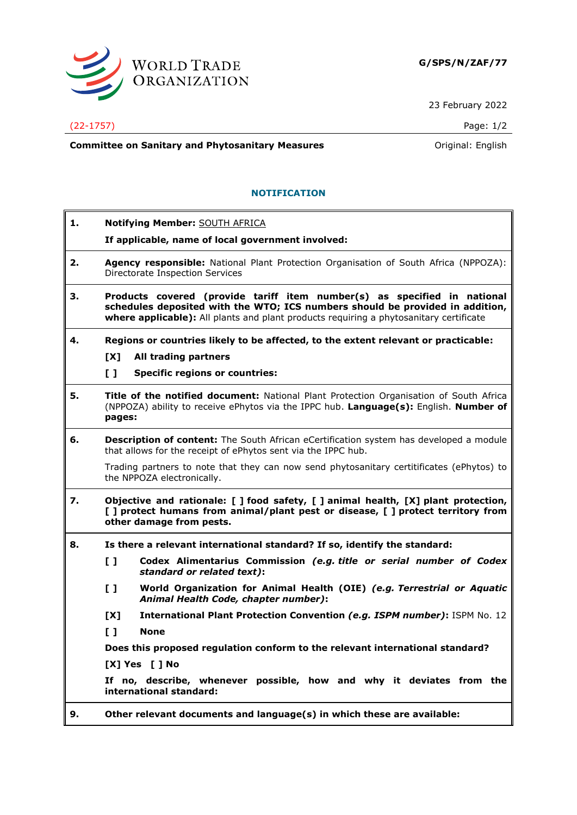

23 February 2022

## (22-1757) Page: 1/2

**Committee on Sanitary and Phytosanitary Measures Committee on Sanitary and Phytosanitary Measures Committee on Sanitary and Phytosanitary Measures** 

## **NOTIFICATION**

| 1. | <b>Notifying Member: SOUTH AFRICA</b><br>If applicable, name of local government involved:                                                                                                                                                          |
|----|-----------------------------------------------------------------------------------------------------------------------------------------------------------------------------------------------------------------------------------------------------|
| 2. | Agency responsible: National Plant Protection Organisation of South Africa (NPPOZA):<br>Directorate Inspection Services                                                                                                                             |
| З. | Products covered (provide tariff item number(s) as specified in national<br>schedules deposited with the WTO; ICS numbers should be provided in addition,<br>where applicable): All plants and plant products requiring a phytosanitary certificate |
| 4. | Regions or countries likely to be affected, to the extent relevant or practicable:                                                                                                                                                                  |
|    | [X]<br>All trading partners                                                                                                                                                                                                                         |
|    | $\mathbf{L}$<br><b>Specific regions or countries:</b>                                                                                                                                                                                               |
| 5. | Title of the notified document: National Plant Protection Organisation of South Africa<br>(NPPOZA) ability to receive ePhytos via the IPPC hub. Language(s): English. Number of<br>pages:                                                           |
| 6. | Description of content: The South African eCertification system has developed a module<br>that allows for the receipt of ePhytos sent via the IPPC hub.                                                                                             |
|    | Trading partners to note that they can now send phytosanitary certitificates (ePhytos) to<br>the NPPOZA electronically.                                                                                                                             |
| 7. | Objective and rationale: [ ] food safety, [ ] animal health, [X] plant protection,<br>[ ] protect humans from animal/plant pest or disease, [ ] protect territory from<br>other damage from pests.                                                  |
| 8. | Is there a relevant international standard? If so, identify the standard:                                                                                                                                                                           |
|    | $\mathbf{L}$<br>Codex Alimentarius Commission (e.g. title or serial number of Codex<br>standard or related text):                                                                                                                                   |
|    | World Organization for Animal Health (OIE) (e.g. Terrestrial or Aquatic<br>$\mathbf{L}$<br>Animal Health Code, chapter number):                                                                                                                     |
|    | International Plant Protection Convention (e.g. ISPM number): ISPM No. 12<br>[X]                                                                                                                                                                    |
|    | $\mathbf{L}$<br><b>None</b>                                                                                                                                                                                                                         |
|    | Does this proposed regulation conform to the relevant international standard?                                                                                                                                                                       |
|    | [X] Yes [ ] No                                                                                                                                                                                                                                      |
|    | If no, describe, whenever possible, how and why it deviates from the<br>international standard:                                                                                                                                                     |
| 9. | Other relevant documents and language(s) in which these are available:                                                                                                                                                                              |